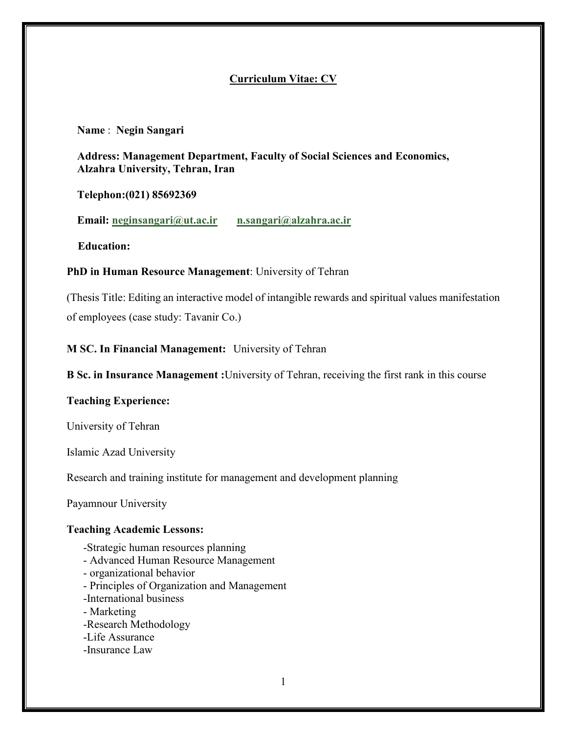# **Curriculum Vitae: CV**

#### **Name** : **Negin Sangari**

**Address: Management Department, Faculty of Social Sciences and Economics, Alzahra University, Tehran, Iran**

## **Telephon:(021) 85692369**

**Email: neginsangari@ut.ac.ir n.sangari@alzahra.ac.ir**

 **Education:**

#### **PhD in Human Resource Management**: University of Tehran

(Thesis Title: Editing an interactive model of intangible rewards and spiritual values manifestation of employees (case study: Tavanir Co.)

# **M SC. In Financial Management:** University of Tehran

**B Sc. in Insurance Management :**University of Tehran, receiving the first rank in this course

## **Teaching Experience:**

University of Tehran

Islamic Azad University

Research and training institute for management and development planning

Payamnour University

## **Teaching Academic Lessons:**

- -Strategic human resources planning
- Advanced Human Resource Management
- organizational behavior
- Principles of Organization and Management
- -International business
- Marketing
- -Research Methodology
- -Life Assurance
- -Insurance Law